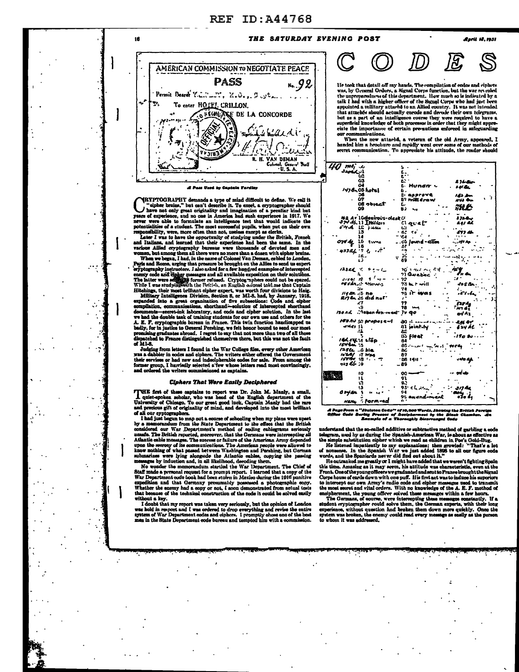# **REF ID: A44768**

#### THE SATURDAY EVENING POST



16

A Paul Veed by Cantain Tardies

**CRYPTOGRAPHY** demands a type of mind difficult to define. We call it "eipher brains," but can't describe it. To excel, a cryptographer should have not only great originality and imagination of a peculiar kind but years of sponsibility, were, more often than not, useless except as clerks

responsibility, were, more often than not, useless except as elerles. Letter I was to have the opportunity of studying under the British, French and Italians, and learned that their experience had been the same. In the var

While I was study<br>jagonith the Rritish, an English caloud told me that Captain<br>Hitchings, their most brilliant cipher expert, was worth four divisions to Haig.<br>Military Intelligence Division, Section 8, or MI-8, had, by J because a contract of the state of all those promising graduates abroad. I regret to say that not more than two of all those dispatched to France distinguished themselves there, but this was not the fault of MI-S.

or all-3.<br>Judging from letters I found in the War College files, every other American<br>yas a dabbler in codes and ciphers. The writers either offered the Government<br>their services or had more and modelphershe codes for sale

#### **Ciphers That Were Easily Deciphered**

THE first of these captains to report was Dr. John M. Manly, a small, quiet-spoken soholar, who was head of the English department of the University of Chicago. To our great good luck, Captain Manly had the rare and precio

and precious gift of originality of mind, and developed into the most brilliant of all our opptographers.<br>In all our originality of mind, and developed into the most brilliant<br>of all our originorments. In the State Depart

that because or the tenthical construction of the code it could be solved easily<br>without a key.<br>I doubt that my report was taken very seriously, but the opinion of London<br>was held in respect and I was ordered to drop every

**Anril 18. 1931** 

He took that detail off my hands. The compilation of codes and ciphers<br>was, by General Orders, a Signal Corps function, but the war revealed was, by General Orders, a Migual Corps function, but like war tweated by a<br>the unpreparedness of this department. How much so is indicated by a<br>talk I had with a higher officer of the Signal Corps who had just been<br>appoin ciate the importance of certain prevautions enforced in safeguarding uniration -

When the new attaché, a veteran of the old Army, appeared, I handed him a broohure and rapidly went over some of our methods of<br>secret communication. To appreciate his attitude, the reader should

| 4U<br>טג נוסמו                                    |                            |                   |
|---------------------------------------------------|----------------------------|-------------------|
| الكحجال                                           |                            |                   |
| ω                                                 |                            |                   |
| 63                                                |                            | $236 - 12$        |
| ۵4                                                | Hundn -                    | 441.50            |
| 1478n 05 hotel                                    | ь.                         |                   |
| 36                                                | 5. approve                 | 143 km            |
| 07                                                | <b>5' with draw</b>        |                   |
| 08 object                                         |                            | NYS OIL           |
| O9                                                | г.                         | iHL:              |
|                                                   | 63                         |                   |
|                                                   |                            |                   |
| 42 Av 10desirous-oleskur<br>374 4.11 Italian – C1 |                            | 873 <b>4.</b> r   |
|                                                   | تا ور دل                   | 241 LX            |
| swith LE puses                                    | t. s                       |                   |
| 15                                                | - 62<br>۰.                 | 577 Eh            |
| 14                                                | 64                         | -111              |
| 16                                                |                            | $$ Me An          |
| 074 Mp<br><b>Burns</b><br>16                      | ંઇ  ound - વૉલ્નિ          |                   |
|                                                   | 87                         |                   |
| $43321 - 2$                                       |                            |                   |
| 18                                                | 36<br>e.                   | 32 -              |
| Δâ                                                | 89                         |                   |
|                                                   |                            |                   |
| $12322 + 5222$                                    | つび ニュレーヘッ ふほ               | 454               |
|                                                   | 71 Quebec                  | i'n an            |
| ---- - - - - - - - -                              | $-92$                      | $\mathbf{u}$      |
|                                                   |                            |                   |
| essar show.                                       | 73 but will                | dos Ba            |
| 244                                               | 74                         |                   |
| 119 QR .: 5 NO                                    | is it was                  | .11.4.            |
| Ri7en 26 did nu l'                                | ,.                         |                   |
| 27                                                | 77                         | <b>Sar Ag</b>     |
| -9                                                | 78 144                     | i ivn di          |
| 130AL Mabandon-ment 74 90                         |                            |                   |
|                                                   |                            | odA2              |
|                                                   |                            |                   |
| HPO AU SA PROPOSE-A                               | $-40$ in expansion.        | $\cdots$ -2.46 My |
| $-4445 - 51$                                      | 81 joint-ly                | EZY ÁL            |
|                                                   | A2                         |                   |
|                                                   | 85 firet                   | $-170.80$         |
| Ad ry is stop                                     | 64                         |                   |
| $1644 - 15$                                       | 85 - 100 1 - 200 1 - 100 4 |                   |
| /2866 G ble                                       | - 84                       |                   |
|                                                   | 87                         |                   |
| $1064$ il Wag                                     |                            |                   |
| $15770$ $181.$                                    | -88.140.1                  | يه 140            |
| 113 Ur : 9                                        | 89                         |                   |
|                                                   |                            |                   |
| 10                                                | $00 -$                     | gri ula           |
| 11                                                | 91                         |                   |
| V.                                                | 9.                         |                   |
| ۰3                                                | りぶ くんぺん                    | 317 Be            |
|                                                   | G.                         |                   |
| Oryen.                                            |                            |                   |
|                                                   | 95 anend-ment              | ola 64            |
|                                                   |                            |                   |

.<br>A Page From a "Steleton Code" of 10,000 Words, Showing the British Foreign<br>Diftee Code Buring Procose of Abocighly Dicerranged Code<br>Lacanple of a Thoroughly Dicerranged Dode

understand that the sp-called additive or subtractive method of carbling a code

understand that the so-called additive or subtractive method of garbling a code<br>telegram, used by as during the Spanish-American War, is about as effective at<br>the simple substitution cipher which we read as children in Po

this time. Amazing as it may seem, his attitude was characteristic, even at the Front-Ouse/theyoungoffleers wegmatuated underst to France brought the Signal Corps house of earth down with one puff. His first act was to ind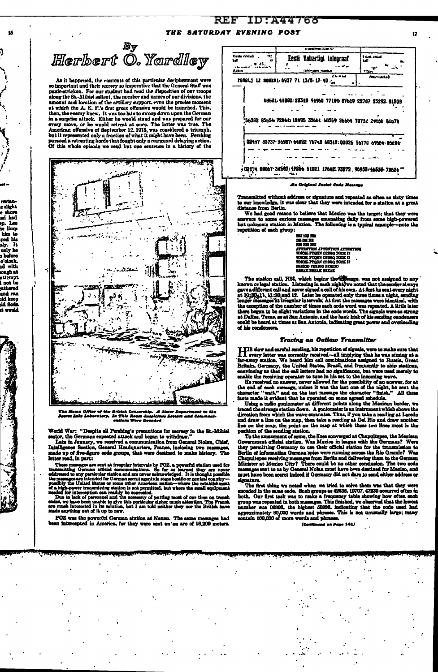### REF ID:A44768 THE SATURDAY EVENING POST

<sup>ey</sup><br>Herbert O. Yardlley

u.

e alight<br>e shore<br>ad had

ep. Lee limp

שייים שם<br>10 שנו

ped his<br>aly. It only he a before o'clock.<br>nd with<br>nough at

atterapt<br>I not be nos oe<br>athered<br>and ran<br>sid keep 

As it happened, the contents of this particular decipherment were<br>so important und their secrecy so imperative that the General Staff was<br>panic-stricken. For our student had read the disposition of our troops<br>along the St amount and location of the artillery support, even the precise moment<br>at which the A. E. F.'s first great offensive would be launched. This, at which the A. E. F.'s first great offensive would be humched. This, then, the enemy knew, It was too late to swoop down upon the German in a surprise attack. Either he would staid and was prepared for our every move, or



The Nema Office of the British Censership. A Sister Deg<br>Sporet Jaho Laboratory. In This Room Suspicious Letters<br>estions Wore Decoded arimeni te th<mark>e</mark><br>and Communi

World War: "Despite all Pershing's precautions for tecreory in the St.-Mihiel sector, the Germans expected attack and began to withdraw."<br>Late in January, we received a communication from General Nolan, Chief,<br>Intelligence letter read, in part:

isticer read, in part:<br>
These monetaristic intervals by POZ, a powerful station used for<br>
These monetaristic derman official communications. So far as learned they are never<br>
addressed to any particular station and are no

POZ was the powerful German station at Nauen. The same messages had<br>an intercepted in America, for they were sent on an are of 16,200 meters.

|                                    | <b>CONTRACTOR</b> AND INCOME.                                 |                                       |
|------------------------------------|---------------------------------------------------------------|---------------------------------------|
| Ń.<br>Virtue closed<br>ыl<br>Adhun | Eesti Vabarligi teleoraaf<br>.<br>(Selection) Function        | t and anti-A<br>hall.<br>ng,<br>White |
|                                    | of the second<br>revelj 12 moskv1.6927 71 13/5.17.40.         | closel marked                         |
|                                    | 69621.41881:22310 94960 77194:87619 22787 23292.81209         |                                       |
|                                    | 56382 85654: 72548: 12495 35661 60359 26664 70732 29150 81674 |                                       |
|                                    | 02447 83737 36987 44822 76748 68347: 00025 56778 69554 05284  |                                       |
|                                    | 02174 09067 34567 47256 51021 17642 73272 96933 46535 78624   |                                       |
|                                    | Es Orizinal Social Code Massaco                               |                                       |

Transmitted without address or signature and repeated as often as sixty times to our knowledge, it was clear that they were intended for a station at a great distance from Berlin. We had good reason to believe that Mexico

answers to some curious messages emanating daily from some high-powered<br>but unknown station in Mexico. The following is a typical example--note the repetition of each group:

**BK HK HS RS<br>DE DE DR<br>ATTENTION ATTESTION ATTES<br>ATTENTION ATTESTION ATTES<br>WHOR FYQUN CPDRQ TOCK I?<br>WHOR FYQUO PERIOD PERIOD<br>FRANCE FYQUO PERIOD<br>NERAT BRAK BRAK<br>BRAK TREAT** *REELT REPLY BEELT* 

The station call, HBI, mixin susan susan susan mass<br>susan susan susan susan susan susan susan susan susan susan susan susan susan susan or larger in the sender always gave a different call and never signed a call of his o of his condensers.

### **Tracing an Outlaw Transmitter**

Tracking an Outlinso Transmitter<br>
I His slow and earch sends and parally, his repetition of signals, were to make sure that<br>
In very letter was correctly received—all implying that he was siming at a<br>
far-away station. We

position of the sending station.<br>To the measurement of some the lines converged at Chapultapes, the Mexican<br>Government official station. Was Mexico in league with the Germans? Were<br>they permitting Germany to use their offi denature.

eignature.<br>The first thing we noted when we tried to solve them was that they were<br>cnooded in the same code. Such groups as 42035, 19707, 47230 occurred often in<br>both. Our first task was to make a frequency table showing h

.<br>'al an Paso 1411 ro-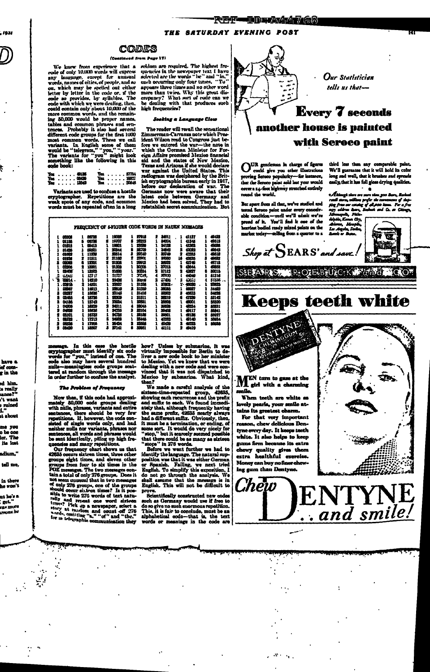#### **REF-Inmaximation**

#### THE SATURDAY EVENING POST

#### Codes aed from Page 17)

(Ceatimest from Page 17)<br>
We knew from experience that a seldom are required. The highest from<br>
reade of only 10,000 words will express quencies in the newsquare text if have<br>
notes, any language, except for unusual selec

, 1931

 $\int$ 

have a ہ جے g in the

ed him.

u really<br>mnos?"

.......<br>.'t want

ruined<br>1." ..<br>.t. about

me you<br>o be one<br>ler. The

its lost

adium."

tell me,

in there

nt he's s

ir m<br>ras mure<br>irsona he

|  |  |  | You 49136        |  |  |  | You 57754 |
|--|--|--|------------------|--|--|--|-----------|
|  |  |  | <b>Yos 06439</b> |  |  |  | You 19827 |
|  |  |  | Yes 13549        |  |  |  | You 20648 |

Variants are used to confuse a hostile cryptographer. Repetitions are the weak spots of any code, and common words must be repeated often in a long

The reader will recall the sensational 2<br>immerman-Carranea note which Pressure and the distance of the state<br>fore we entered the wur—the note in which the German Minister for Formation<br>eign Affairs promised also<br>ice of no

FREQUENCY OF S-FIGURE CODE WORDS IN NAUEN MESSAGES

|    | coos         |   | 66723 | ı | 19089 |   | 27918  |   | 34911       |    | 41137    |   | 48423 |
|----|--------------|---|-------|---|-------|---|--------|---|-------------|----|----------|---|-------|
|    | 01155        | Б | 06726 | я | 19707 |   | 2022   |   | 84004       | τ  | 4346     |   | 49513 |
|    | 01315        |   | 09415 |   | 19801 |   | 25530  |   | 34128       |    | 41363    |   | 49538 |
|    | <b>M46</b>   |   | 69501 | 1 | 2044  |   | 28700  |   | 34643       | я  | 42023    |   | 48543 |
|    | 01892        |   | 11230 | 1 | 20514 | з | 29340  | 1 | 35749       | 2  | والثلثاء |   | 49818 |
|    | orste        |   | 11511 | 2 | 21108 | 2 | 22900  |   | 10000       | 16 | -233     | з | 49533 |
|    | 0002         | 8 | 1291  | 9 | 21205 |   | 29913  |   | 20037       | 1  | 4740     | 1 | 49713 |
|    | cens         | 2 | 13301 |   | 21200 |   | 30205  | 1 | 27013       | 2  | 4944     |   | 4963  |
|    | 12.XX        | 1 | 13505 |   | 71530 |   | 30331  | 2 | 87112       | 9  | 4327     | 8 | 50015 |
| Α, | تلتلنا       | ı | 15717 |   | 21737 |   | JOB.   | 4 | <b>ARTS</b> | ı  | 44049    | 1 | 51316 |
| ٠  | 00014 -      | 1 | 14210 |   | 2106  |   | 2toral | 2 | 37 UG       | 2  | لثاتة    |   | 61336 |
|    | . 09915      | 2 | 14521 |   | 22527 |   | 31256  |   | 27803-      |    | Y-45000  |   | 1325  |
|    | منفقة        |   | 14913 |   | 22510 |   | 31250  |   | 38085       |    | رفعة     | 1 | 34.OS |
| я  | 03227        |   | 18836 |   | 23145 | ı | 31416  |   | 38923       | 2  | 45533    |   | 5428  |
|    |              |   |       |   |       |   |        |   | 20219       |    |          |   |       |
| 2  | 03455        |   | 18726 |   | 2833  |   | 31511  |   |             | 6  | 47233    |   | 55142 |
| 2  | 04186        |   | 15742 |   | 23034 |   | 32521  |   | 20206       |    | 4001     |   | 55320 |
|    | 04306        |   | 18229 | 2 | 94211 |   | 33045  |   | 20035       |    | 4824     |   | 55331 |
|    | 04020        | 1 | 18638 | 1 | 2426  | я | 43104  |   | 39436       | ı  | 49117    |   | 55941 |
| 1  | <b>GSIOI</b> |   | 16733 | 1 | 24735 | ı | 33186  |   | 35001       |    | 49136    | 2 | 55027 |
|    | ᅈᄤ           |   | 17213 |   | 24900 | ı | 23448  |   | 40252       |    | 41 10    | 2 | 55934 |
| я  | 0826         | 1 | 17256 | 1 | 26434 |   | 1158   | 1 | 40439       | 2  | 49223    |   | 55036 |
|    | 08020        |   | 18807 | Б | 27.CL | В | 39951  |   | 41111       | ,  | 49419    |   |       |
|    |              |   |       |   |       |   |        |   |             |    |          |   |       |

message. In this case the hostile cyptographer must identify six code words for "you," instead of one. The code also may have several hundred nulle-meaningless code groups seat-tered at random through the message in order

#### **The Problem of Prequency**

Now then, if this code had approximately 50,000 code groups dealing<br>with nulls, phrases, variants and entire<br>with nulls, phrases, variants and entire<br>seatences, there should be very few two<br>repetitions. If, however, the co

queenwas are many repetutions, that 42635 occurs sixteen times, three other groups eight times, and eleven other groups from four to six times in the POZ messages. The two messages oon-POZ messages. The two messages contains a total of only 276 groups. Does it not seem quusual that in two messages not seem numeral that in two messages<br>and only 276 groups, one of the groups<br>aboutd occur sixt-on times? Is it possible to write 270 words of text natural<br>raily and revous one word sixteen<br>times? Hek up a now<br>spaper, selec

 $\mathcal{L}$ 

 $\mathcal{L}_\text{c}$  , where وأبيه

 $\mathbb{R}^2$ 

how? Unless by submarine, it was<br>virtually impossible for Berlin to de-<br>liver a new code book to her minister<br>to Mexico. Yet we know that we were<br>dealing with a new code and were con-<br>winced that it was not dispatched to<br>h then !

Mexico by submarine. What kind,<br>
then?<br>
when then?<br>
when the same the careful nualysis of the<br>
showing each recurrence and the prefix<br>
showing each recurrence and the prefix<br>
same duffic to each. We found in<br>
and salificat

prove.<br>Scientifically constructed new code

communeus constructed new codes of the following state and demany would use if free to do so give no unch sucrements applied a must be an applicited and substitution. This, it is fair to conclude, must be an words or meani



Our Statistician tells us that-

# **Every 7 seconds** another house is painted with Seroco paint

But apart from all that, we've studied and market today-selling from a quarter to a

third less than any comparable paint.<br>We'll guarantee that it will hold its color long and well, that it brushes and spreads<br>easily, that it has full gloss drying qualities.  $\ddot{\phantom{0}}$ 

 $\begin{minipage}{0.9\textwidth} \begin{tabular}{|c|c|} \hline \multicolumn{1}{|c|}{\textbf{[A}} & \multicolumn{1}{|c|}{\textbf{[A}} & \multicolumn{1}{|c|}{\textbf{[A}} & \multicolumn{1}{|c|}{\textbf{[A}} & \multicolumn{1}{|c|}{\textbf{[A}} & \multicolumn{1}{|c|}{\textbf{[A}} & \multicolumn{1}{|c|}{\textbf{[A}} & \multicolumn{1}{|c|}{\textbf{[A}} & \multicolumn{1}{|c|}{\textbf{[A}} & \multicolumn{1}{|c|}{\textbf{[A}} & \$ 

ৱ ক 湴  $\mathcal{S}$ kop at  $\mathcal{S}$ EARS' and save.

SIEARS, ROHBURGK FALL COT

# **Keeps teeth white**



When teeth are white as lovely pearls, your smile at-<br>tains its greatest charm.

For that very important on, chew delicious Dentyne every day. It keeps teeth white. It also helps to keep gums firm because its extra chowy quality gives them<br>extra healthful exercise. Money can buy no finer chewing gum than Dentyne.

 $\sim 10^{11}$  m  $^{-1}$ 

Chew



ENTYN

.. and smile!